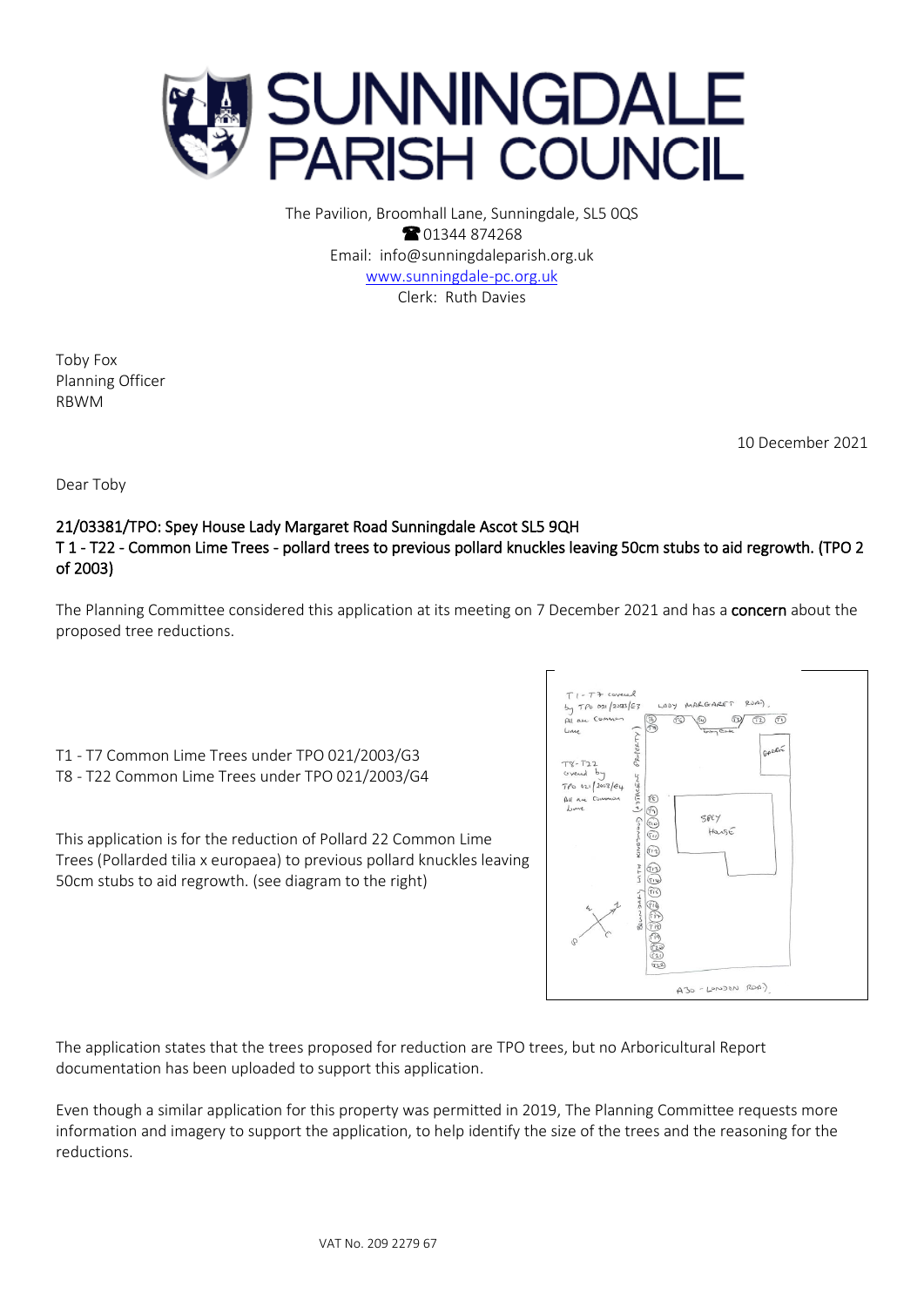

The Pavilion, Broomhall Lane, Sunningdale, SL5 0QS **8** 01344 874268 Email: info@sunningdaleparish.org.uk [www.sunningdale-pc.org.uk](http://www.sunningdale-pc.org.uk/) Clerk: Ruth Davies

Toby Fox Planning Officer RBWM

10 December 2021

Dear Toby

## 21/03381/TPO: Spey House Lady Margaret Road Sunningdale Ascot SL5 9QH T 1 - T22 - Common Lime Trees - pollard trees to previous pollard knuckles leaving 50cm stubs to aid regrowth. (TPO 2 of 2003)

The Planning Committee considered this application at its meeting on 7 December 2021 and has a concern about the proposed tree reductions.

T1 - T7 Common Lime Trees under TPO 021/2003/G3 T8 - T22 Common Lime Trees under TPO 021/2003/G4

This application is for the reduction of Pollard 22 Common Lime Trees (Pollarded tilia x europaea) to previous pollard knuckles leaving 50cm stubs to aid regrowth. (see diagram to the right)



The application states that the trees proposed for reduction are TPO trees, but no Arboricultural Report documentation has been uploaded to support this application.

Even though a similar application for this property was permitted in 2019, The Planning Committee requests more information and imagery to support the application, to help identify the size of the trees and the reasoning for the reductions.